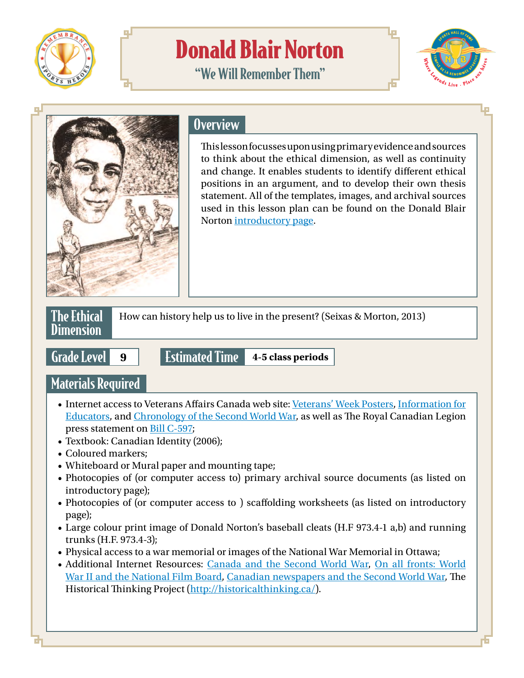

# Donald Blair Norton

"We Will Remember Them"





### **Overview**

This lesson focusses upon using primary evidence and sources to think about the ethical dimension, as well as continuity and change. It enables students to identify different ethical positions in an argument, and to develop their own thesis statement. All of the templates, images, and archival sources used in this lesson plan can be found on the Donald Blair Norton [introductory page](https://www.nbsportshalloffame.com/sport-heroes).



How can history help us to live in the present? (Seixas & Morton, 2013)

Grade Level **<sup>9</sup>** Estimated Time **4-5 class periods**

# Materials Required

- Internet access to Veterans Affairs Canada web site: [Veterans' Week Posters,](http://www.veterans.gc.ca/eng/remembrance/get-involved/remembrance-day/posters) [Information for](http://www.veterans.gc.ca/eng/remembrance/information-for/educators) [Educators](http://www.veterans.gc.ca/eng/remembrance/information-for/educators), and [Chronology of the Second World War,](http://www.veterans.gc.ca/eng/remembrance/history/historical-sheets/wwchronol) as well as The Royal Canadian Legion press statement on [Bill C-597;](http://www.legion.ca/article/bill-c-597-an-act-to-amend-the-holidays-act/)
- Textbook: Canadian Identity (2006);
- Coloured markers;
- Whiteboard or Mural paper and mounting tape;
- Photocopies of (or computer access to) primary archival source documents (as listed on introductory page);
- Photocopies of (or computer access to ) scaffolding worksheets (as listed on introductory page);
- Large colour print image of Donald Norton's baseball cleats (H.F 973.4-1 a,b) and running trunks (H.F. 973.4-3);
- Physical access to a war memorial or images of the National War Memorial in Ottawa;
- Additional Internet Resources: [Canada and the Second World War,](http://www.warmuseum.ca/cwm/exhibitions/chrono/1931crisis_e.shtml) [On all fronts: World](http://www3.nfb.ca/ww2/home.htm) [War II and the National Film Board](http://www3.nfb.ca/ww2/home.htm), [Canadian newspapers and the Second World War,](http://www.warmuseum.ca/cwm/exhibitions/newspapers/operations/britain_e.shtml) The Historical Thinking Project [\(http://historicalthinking.ca/](http://historicalthinking.ca/)).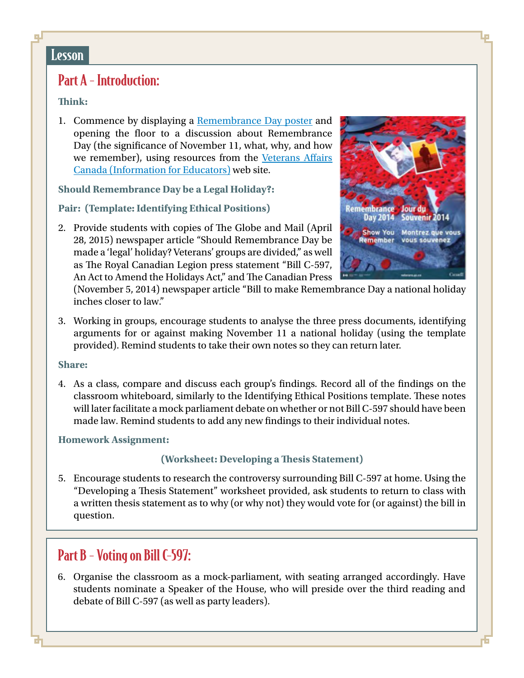#### **Lesson**

## Part A - Introduction:

#### **Think:**

1. Commence by displaying a [Remembrance Day poster](http://www.veterans.gc.ca/eng/remembrance/get-involved/remembrance-day/posters) and opening the floor to a discussion about Remembrance Day (the significance of November 11, what, why, and how we remember), using resources from the [Veterans Affairs](http://www.veterans.gc.ca/eng/remembrance/information-for/educators) [Canada \(Information for Educators\)](http://www.veterans.gc.ca/eng/remembrance/information-for/educators) web site.

**Should Remembrance Day be a Legal Holiday?:**

**Pair: (Template: Identifying Ethical Positions)**

2. Provide students with copies of The Globe and Mail (April 28, 2015) newspaper article "Should Remembrance Day be made a 'legal' holiday? Veterans' groups are divided," as well as The Royal Canadian Legion press statement "Bill C-597, An Act to Amend the Holidays Act," and The Canadian Press



(November 5, 2014) newspaper article "Bill to make Remembrance Day a national holiday inches closer to law."

3. Working in groups, encourage students to analyse the three press documents, identifying arguments for or against making November 11 a national holiday (using the template provided). Remind students to take their own notes so they can return later.

#### **Share:**

4. As a class, compare and discuss each group's findings. Record all of the findings on the classroom whiteboard, similarly to the Identifying Ethical Positions template. These notes will later facilitate a mock parliament debate on whether or not Bill C-597 should have been made law. Remind students to add any new findings to their individual notes.

#### **Homework Assignment:**

#### **(Worksheet: Developing a Thesis Statement)**

5. Encourage students to research the controversy surrounding Bill C-597 at home. Using the "Developing a Thesis Statement" worksheet provided, ask students to return to class with a written thesis statement as to why (or why not) they would vote for (or against) the bill in question.

### Part B - Voting on Bill C-597:

6. Organise the classroom as a mock-parliament, with seating arranged accordingly. Have students nominate a Speaker of the House, who will preside over the third reading and debate of Bill C-597 (as well as party leaders).

o L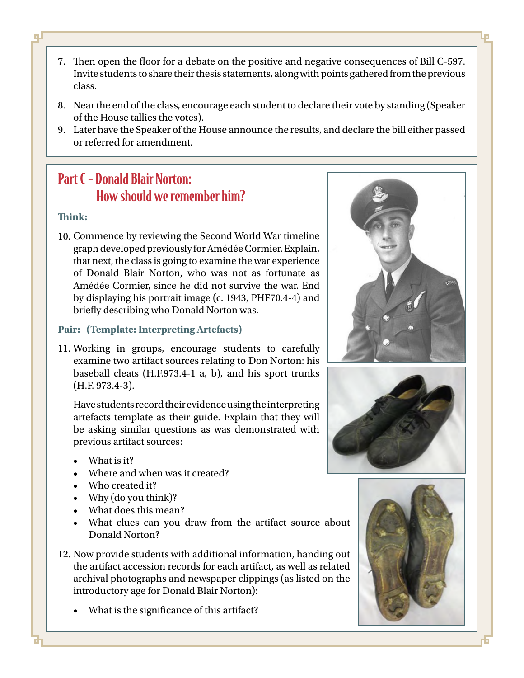- 7. Then open the floor for a debate on the positive and negative consequences of Bill C-597. Invite students to share their thesis statements, along with points gathered from the previous class.
- 8. Near the end of the class, encourage each student to declare their vote by standing (Speaker of the House tallies the votes).
- 9. Later have the Speaker of the House announce the results, and declare the bill either passed or referred for amendment.

# Part C - Donald Blair Norton: How should we remember him?

#### **Think:**

o.

10. Commence by reviewing the Second World War timeline graph developed previously for Amédée Cormier. Explain, that next, the class is going to examine the war experience of Donald Blair Norton, who was not as fortunate as Amédée Cormier, since he did not survive the war. End by displaying his portrait image (c. 1943, PHF70.4-4) and briefly describing who Donald Norton was.

#### **Pair: (Template: Interpreting Artefacts)**

11. Working in groups, encourage students to carefully examine two artifact sources relating to Don Norton: his baseball cleats (H.F.973.4-1 a, b), and his sport trunks (H.F. 973.4-3).

Have students record their evidence using the interpreting artefacts template as their guide. Explain that they will be asking similar questions as was demonstrated with previous artifact sources:

- What is it?
- Where and when was it created?
- Who created it?
- Why (do you think)?
- What does this mean?
- What clues can you draw from the artifact source about Donald Norton?
- 12. Now provide students with additional information, handing out the artifact accession records for each artifact, as well as related archival photographs and newspaper clippings (as listed on the introductory age for Donald Blair Norton):
	- What is the significance of this artifact?





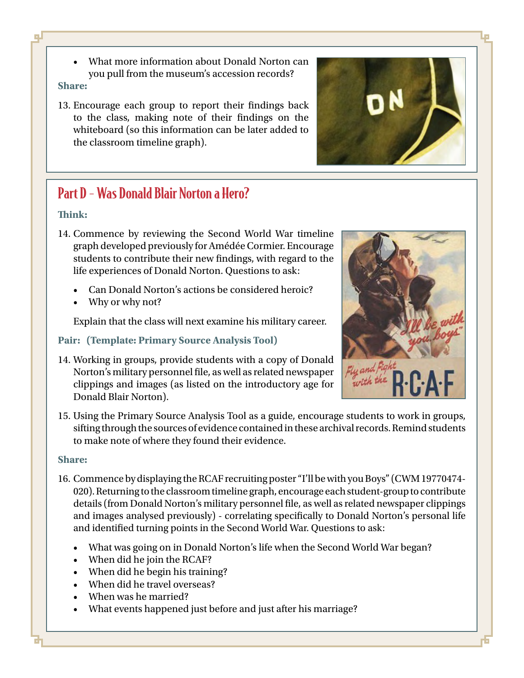- o L
- What more information about Donald Norton can you pull from the museum's accession records?

#### **Share:**

13. Encourage each group to report their findings back to the class, making note of their findings on the whiteboard (so this information can be later added to the classroom timeline graph).



#### **Think:**

- 14. Commence by reviewing the Second World War timeline graph developed previously for Amédée Cormier. Encourage students to contribute their new findings, with regard to the life experiences of Donald Norton. Questions to ask:
	- Can Donald Norton's actions be considered heroic?
	- Why or why not?

Explain that the class will next examine his military career.

#### **Pair: (Template: Primary Source Analysis Tool)**

14. Working in groups, provide students with a copy of Donald Norton's military personnel file, as well as related newspaper clippings and images (as listed on the introductory age for Donald Blair Norton).



15. Using the Primary Source Analysis Tool as a guide, encourage students to work in groups, sifting through the sources of evidence contained in these archival records. Remind students to make note of where they found their evidence.

#### **Share:**

- 16. Commence by displaying the RCAF recruiting poster "I'll be with you Boys" (CWM 19770474- 020). Returning to the classroom timeline graph, encourage each student-group to contribute details (from Donald Norton's military personnel file, as well as related newspaper clippings and images analysed previously) - correlating specifically to Donald Norton's personal life and identified turning points in the Second World War. Questions to ask:
	- What was going on in Donald Norton's life when the Second World War began?
	- When did he join the RCAF?
	- When did he begin his training?
	- When did he travel overseas?
	- When was he married?
	- What events happened just before and just after his marriage?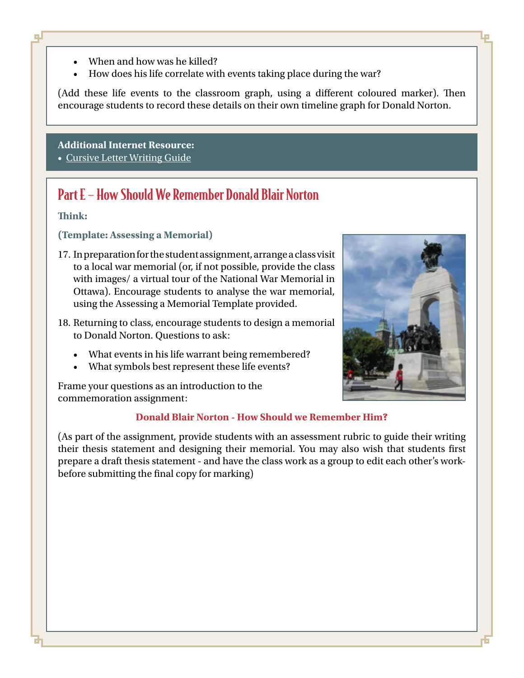- When and how was he killed?
- How does his life correlate with events taking place during the war?

(Add these life events to the classroom graph, using a different coloured marker). Then encourage students to record these details on their own timeline graph for Donald Norton.

### **Additional Internet Resource:**

• [Cursive Letter Writing Guide](http://nbsportshalloffame.com/remembrance/wp-content/uploads/sites/2/2015/12/cursive-writing-guide-letters.pdf)

# Part E – How Should We Remember Donald Blair Norton

#### **Think:**

F.

#### **(Template: Assessing a Memorial)**

- 17. In preparation for the student assignment, arrange a class visit to a local war memorial (or, if not possible, provide the class with images/ a virtual tour of the National War Memorial in Ottawa). Encourage students to analyse the war memorial, using the Assessing a Memorial Template provided.
- 18. Returning to class, encourage students to design a memorial to Donald Norton. Questions to ask:
	- What events in his life warrant being remembered?
	- What symbols best represent these life events?

Frame your questions as an introduction to the commemoration assignment:

#### **Donald Blair Norton - How Should we Remember Him?**

(As part of the assignment, provide students with an assessment rubric to guide their writing their thesis statement and designing their memorial. You may also wish that students first prepare a draft thesis statement - and have the class work as a group to edit each other's workbefore submitting the final copy for marking)



L.